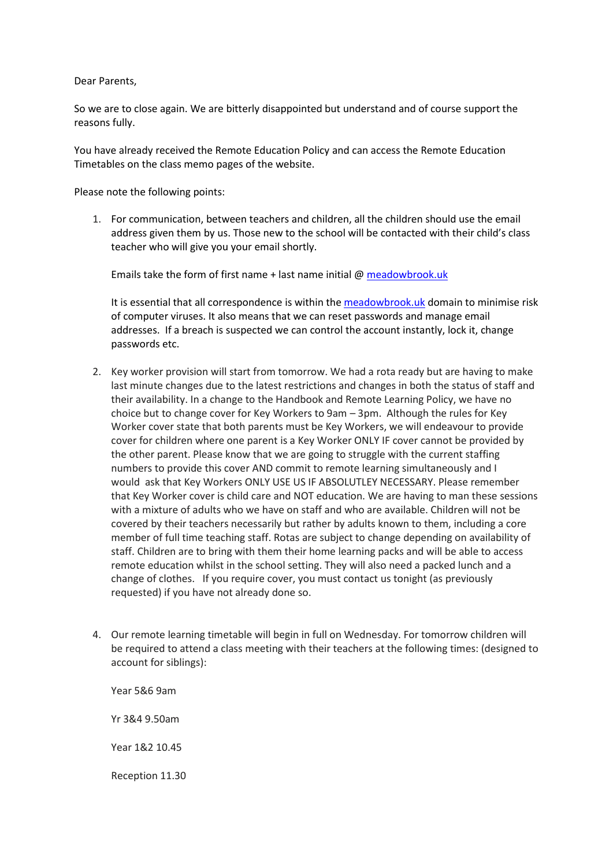Dear Parents,

So we are to close again. We are bitterly disappointed but understand and of course support the reasons fully.

You have already received the Remote Education Policy and can access the Remote Education Timetables on the class memo pages of the website.

Please note the following points:

1. For communication, between teachers and children, all the children should use the email address given them by us. Those new to the school will be contacted with their child's class teacher who will give you your email shortly.

Emails take the form of first name + last name initial  $@$  [meadowbrook.uk](http://meadowbrook.uk/)

It is essential that all correspondence is within the [meadowbrook.uk](http://meadowbrook.uk/) domain to minimise risk of computer viruses. It also means that we can reset passwords and manage email addresses. If a breach is suspected we can control the account instantly, lock it, change passwords etc.

- 2. Key worker provision will start from tomorrow. We had a rota ready but are having to make last minute changes due to the latest restrictions and changes in both the status of staff and their availability. In a change to the Handbook and Remote Learning Policy, we have no choice but to change cover for Key Workers to 9am – 3pm. Although the rules for Key Worker cover state that both parents must be Key Workers, we will endeavour to provide cover for children where one parent is a Key Worker ONLY IF cover cannot be provided by the other parent. Please know that we are going to struggle with the current staffing numbers to provide this cover AND commit to remote learning simultaneously and I would ask that Key Workers ONLY USE US IF ABSOLUTLEY NECESSARY. Please remember that Key Worker cover is child care and NOT education. We are having to man these sessions with a mixture of adults who we have on staff and who are available. Children will not be covered by their teachers necessarily but rather by adults known to them, including a core member of full time teaching staff. Rotas are subject to change depending on availability of staff. Children are to bring with them their home learning packs and will be able to access remote education whilst in the school setting. They will also need a packed lunch and a change of clothes. If you require cover, you must contact us tonight (as previously requested) if you have not already done so.
- 4. Our remote learning timetable will begin in full on Wednesday. For tomorrow children will be required to attend a class meeting with their teachers at the following times: (designed to account for siblings):

Year 5&6 9am Yr 3&4 9.50am Year 1&2 10.45 Reception 11.30